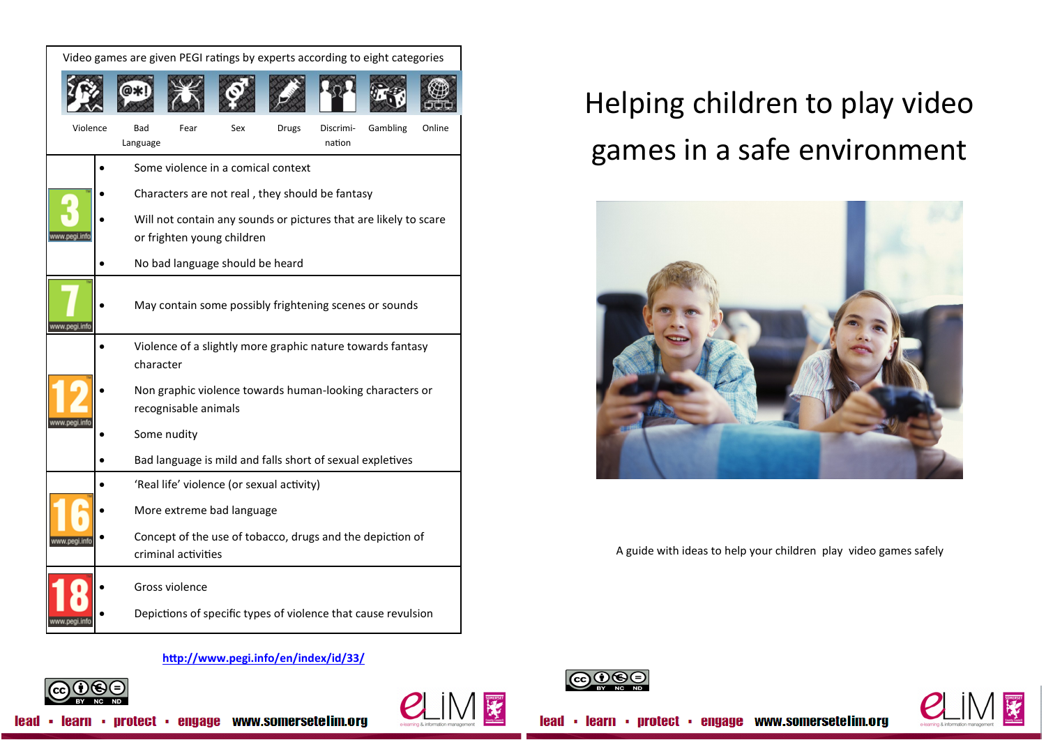| Video games are given PEGI ratings by experts according to eight categories |  |                                                                                  |      |     |              |                     |          |        |  |
|-----------------------------------------------------------------------------|--|----------------------------------------------------------------------------------|------|-----|--------------|---------------------|----------|--------|--|
|                                                                             |  |                                                                                  |      |     |              |                     |          |        |  |
| Violence                                                                    |  | Bad<br>Language                                                                  | Fear | Sex | <b>Drugs</b> | Discrimi-<br>nation | Gambling | Online |  |
|                                                                             |  | Some violence in a comical context                                               |      |     |              |                     |          |        |  |
|                                                                             |  | Characters are not real, they should be fantasy                                  |      |     |              |                     |          |        |  |
|                                                                             |  | Will not contain any sounds or pictures that are likely to scare                 |      |     |              |                     |          |        |  |
| w.pegi.info                                                                 |  | or frighten young children                                                       |      |     |              |                     |          |        |  |
|                                                                             |  | No bad language should be heard                                                  |      |     |              |                     |          |        |  |
| www.pegi.info                                                               |  | May contain some possibly frightening scenes or sounds                           |      |     |              |                     |          |        |  |
|                                                                             |  | Violence of a slightly more graphic nature towards fantasy                       |      |     |              |                     |          |        |  |
|                                                                             |  | character                                                                        |      |     |              |                     |          |        |  |
|                                                                             |  | Non graphic violence towards human-looking characters or<br>recognisable animals |      |     |              |                     |          |        |  |
| www.pegi.in                                                                 |  | Some nudity                                                                      |      |     |              |                     |          |        |  |
|                                                                             |  | Bad language is mild and falls short of sexual expletives                        |      |     |              |                     |          |        |  |
|                                                                             |  | 'Real life' violence (or sexual activity)                                        |      |     |              |                     |          |        |  |
|                                                                             |  | More extreme bad language                                                        |      |     |              |                     |          |        |  |
|                                                                             |  | Concept of the use of tobacco, drugs and the depiction of<br>criminal activities |      |     |              |                     |          |        |  |
|                                                                             |  | Gross violence                                                                   |      |     |              |                     |          |        |  |
|                                                                             |  | Depictions of specific types of violence that cause revulsion                    |      |     |              |                     |          |        |  |

## Helping children to play video games in a safe environment



A guide with ideas to help your children play video games safely

## **<http://www.pegi.info/en/index/id/33/>**